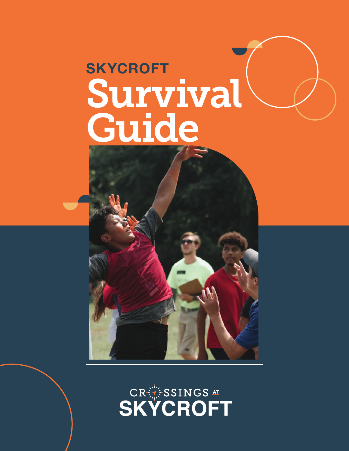# **SKYCROFT** Survival Guide

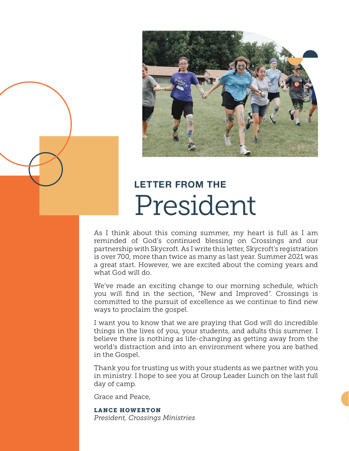

### **LETTER FROM THE** President

As I think about this coming summer, my heart is full as I am reminded of God's continued blessing on Crossings and our partnership with Skycroft. As I write this letter, Skycroft's registration is over 700, more than twice as many as last year. Summer 2021 was a great start. However, we are excited about the coming years and what God will do.

We've made an exciting change to our morning schedule, which you will find in the section, "New and Improved". Crossings is committed to the pursuit of excellence as we continue to find new ways to proclaim the gospel.

I want you to know that we are praying that God will do incredible things in the lives of you, your students, and adults this summer. I believe there is nothing as life-changing as getting away from the world's distraction and into an environment where you are bathed in the Gospel.

Thank you for trusting us with your students as we partner with you in ministry. I hope to see you at Group Leader Lunch on the last full day of camp.

Grace and Peace,

LANCE HOWERTON *President, Crossings Ministries*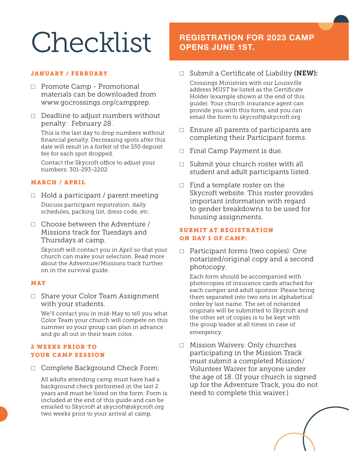# Checklist

#### JANUARY / FEBRUARY

- ☐ Promote Camp Promotional materials can be downloaded from www.gocrossings.org/campprep.
- $\Box$  Deadline to adjust numbers without penalty: February 28.

This is the last day to drop numbers without financial penalty. Decreasing spots after this date will result in a forfeit of the \$50 deposit fee for each spot dropped.

Contact the Skycroft office to adjust your numbers: 301-293-2202.

#### MARCH / APRIL

- $\Box$  Hold a participant / parent meeting Discuss participant registration, daily schedules, packing list, dress code, etc.
- ☐ Choose between the Adventure / Missions track for Tuesdays and Thursdays at camp.

Skycroft will contact you in April so that your church can make your selection. Read more about the Adventure/Missions track further on in the survival guide.

#### MAY

☐ Share your Color Team Assignment with your students.

We'll contact you in mid-May to tell you what Color Team your church will compete on this summer so your group can plan in advance and go all out in their team color.

#### 2 WEEKS PRIOR TO YOUR CAMP SESSION

☐ Complete Background Check Form:

All adults attending camp must have had a background check performed in the last 2 years and must be listed on the form. Form is included at the end of this guide and can be emailed to Skycroft at skycroft@skycroft.org two weeks prior to your arrival at camp.

### **REGISTRATION FOR 2023 CAMP OPENS JUNE 1ST.**

 $\Box$  Submit a Certificate of Liability (NEW):

Crossings Ministries with our Louisville address MUST be listed as the Certificate Holder (example shown at the end of this guide). Your church insurance agent can provide you with this form, and you can email the form to skycroft@skycroft.org.

- $\Box$  Ensure all parents of participants are completing their Participant forms.
- □ Final Camp Payment is due.
- □ Submit your church roster with all student and adult participants listed.
- $\Box$  Find a template roster on the Skycroft website. This roster provides important information with regard to gender breakdowns to be used for housing assignments.

#### SUBMIT AT REGISTRATION ON DAY 1 OF CAMP:

☐ Participant forms (two copies): One notarized/original copy and a second photocopy.

Each form should be accompanied with photocopies of insurance cards attached for each camper and adult sponsor. Please bring them separated into two sets in alphabetical order by last name. The set of notarized originals will be submitted to Skycroft and the other set of copies is to be kept with the group leader at all times in case of emergency.

☐ Mission Waivers: Only churches participating in the Mission Track must submit a completed Mission/ Volunteer Waiver for anyone under the age of 18. (If your church is signed up for the Adventure Track, you do not need to complete this waiver.)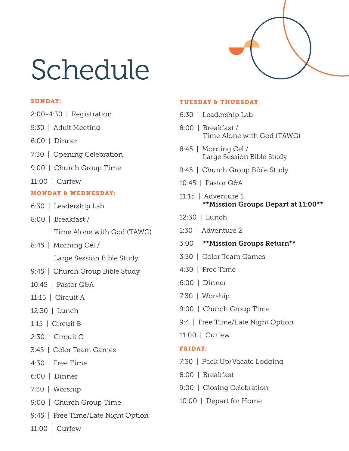# Schedule

#### SUNDAY:

- 2:00-4:30 | Registration
- 5:30 | Adult Meeting
- 6:00 | Dinner
- 7:30 | Opening Celebration
- 9:00 | Church Group Time
- 11:00 | Curfew

#### MONDAY & WEDNESDAY:

- 6:30 | Leadership Lab
- 8:00 | Breakfast / Time Alone with God (TAWG)
- 8:45 | Morning Cel / Large Session Bible Study
- 9:45 | Church Group Bible Study
- 10:45 | Pastor Q&A
- 11:15 | Circuit A
- 12:30 | Lunch
- 1:15 | Circuit B
- 2:30 | Circuit C
- 3:45 | Color Team Games
- 4:30 | Free Time
- 6:00 | Dinner
- 7:30 | Worship
- 9:00 | Church Group Time
- 9:45 | Free Time/Late Night Option
- 11:00 | Curfew

#### TUESDAY & THURSDAY

- 6:30 | Leadership Lab
- 8:00 | Breakfast / Time Alone with God (TAWG)
- 8:45 | Morning Cel / Large Session Bible Study
- 9:45 | Church Group Bible Study
- 10:45 | Pastor Q&A
- 11:15 | Adventure 1 \*\*Mission Groups Depart at 11:00\*\*
- 12:30 | Lunch
- 1:30 | Adventure 2
- 3:00 | \*\*Mission Groups Return\*\*
- 3:30 | Color Team Games
- 4:30 | Free Time
- 6:00 | Dinner
- 7:30 | Worship
- 9:00 | Church Group Time
- 9:4 | Free Time/Late Night Option
- 11:00 | Curfew

#### FRIDAY:

- 7:30 | Pack Up/Vacate Lodging
- 8:00 | Breakfast
- 9:00 | Closing Celebration
- 10:00 | Depart for Home

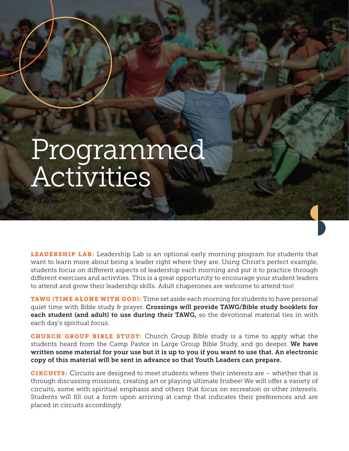# Programmed Activities

**LEADERSHIP LAB:** Leadership Lab is an optional early morning program for students that want to learn more about being a leader right where they are. Using Christ's perfect example, students focus on different aspects of leadership each morning and put it to practice through different exercises and activities. This is a great opportunity to encourage your student leaders to attend and grow their leadership skills. Adult chaperones are welcome to attend too!

TAWG (TIME ALONE WITH GOD): Time set aside each morning for students to have personal quiet time with Bible study & prayer. Crossings will provide TAWG/Bible study booklets for each student (and adult) to use during their TAWG, so the devotional material ties in with each day's spiritual focus.

CHURCH GROUP BIBLE STUDY: Church Group Bible study is a time to apply what the students heard from the Camp Pastor in Large Group Bible Study, and go deeper. We have written some material for your use but it is up to you if you want to use that. An electronic copy of this material will be sent in advance so that Youth Leaders can prepare.

CIRCUITS: Circuits are designed to meet students where their interests are – whether that is through discussing missions, creating art or playing ultimate frisbee! We will offer a variety of circuits, some with spiritual emphasis and others that focus on recreation or other interests. Students will fill out a form upon arriving at camp that indicates their preferences and are placed in circuits accordingly.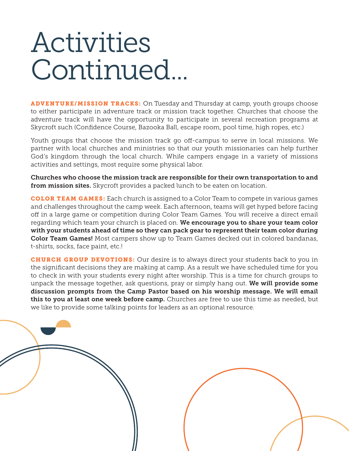# Activities Continued...

ADVENTURE/MISSION TRACKS: On Tuesday and Thursday at camp, youth groups choose to either participate in adventure track or mission track together. Churches that choose the adventure track will have the opportunity to participate in several recreation programs at Skycroft such (Confidence Course, Bazooka Ball, escape room, pool time, high ropes, etc.)

Youth groups that choose the mission track go off-campus to serve in local missions. We partner with local churches and ministries so that our youth missionaries can help further God's kingdom through the local church. While campers engage in a variety of missions activities and settings, most require some physical labor.

Churches who choose the mission track are responsible for their own transportation to and from mission sites. Skycroft provides a packed lunch to be eaten on location.

COLOR TEAM GAMES: Each church is assigned to a Color Team to compete in various games and challenges throughout the camp week. Each afternoon, teams will get hyped before facing off in a large game or competition during Color Team Games. You will receive a direct email regarding which team your church is placed on. We encourage you to share your team color with your students ahead of time so they can pack gear to represent their team color during Color Team Games! Most campers show up to Team Games decked out in colored bandanas, t-shirts, socks, face paint, etc.!

**CHURCH GROUP DEVOTIONS:** Our desire is to always direct your students back to you in the significant decisions they are making at camp. As a result we have scheduled time for you to check in with your students every night after worship. This is a time for church groups to unpack the message together, ask questions, pray or simply hang out. We will provide some discussion prompts from the Camp Pastor based on his worship message. We will email this to you at least one week before camp. Churches are free to use this time as needed, but we like to provide some talking points for leaders as an optional resource.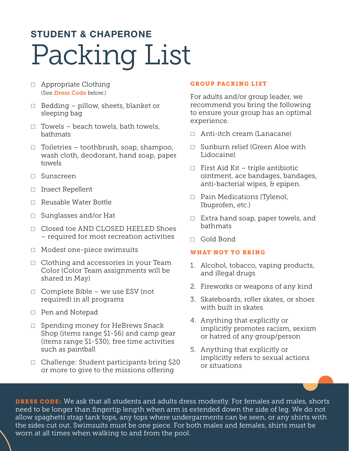## **STUDENT & CHAPERONE** Packing List

- ☐ Appropriate Clothing (See Dress Code below.)
- $\Box$  Bedding pillow, sheets, blanket or sleeping bag
- $\Box$  Towels beach towels, bath towels, bathmats
- $\Box$  Toiletries toothbrush, soap, shampoo, wash cloth, deodorant, hand soap, paper towels
- ☐ Sunscreen
- ☐ Insect Repellent
- ☐ Reusable Water Bottle
- ☐ Sunglasses and/or Hat
- ☐ Closed toe AND CLOSED HEELED Shoes – required for most recreation activities
- ☐ Modest one-piece swimsuits
- ☐ Clothing and accessories in your Team Color (Color Team assignments will be shared in May)
- ☐ Complete Bible we use ESV (not required) in all programs
- ☐ Pen and Notepad
- □ Spending money for HeBrews Snack Shop (items range \$1-\$6) and camp gear (items range \$1-\$30), free time activities such as paintball
- ☐ Challenge: Student participants bring \$20 or more to give to the missions offering

#### GROUP PACKING LIST

For adults and/or group leader, we recommend you bring the following to ensure your group has an optimal experience.

- ☐ Anti-itch cream (Lanacane)
- ☐ Sunburn relief (Green Aloe with Lidocaine)
- $\Box$  First Aid Kit triple antibiotic ointment, ace bandages, bandages, anti-bacterial wipes, & epipen.
- □ Pain Medications (Tylenol, Ibuprofen, etc.)
- $\Box$  Extra hand soap, paper towels, and bathmats
- ☐ Gold Bond

#### WHAT NOT TO BRING

- 1. Alcohol, tobacco, vaping products, and illegal drugs
- 2. Fireworks or weapons of any kind
- 3. Skateboards, roller skates, or shoes with built in skates.
- 4. Anything that explicitly or implicitly promotes racism, sexism or hatred of any group/person
- 5. Anything that explicitly or implicitly refers to sexual actions or situations

DRESS CODE: We ask that all students and adults dress modestly. For females and males, shorts need to be longer than fingertip length when arm is extended down the side of leg. We do not allow spaghetti strap tank tops, any tops where undergarments can be seen, or any shirts with the sides cut out. Swimsuits must be one piece. For both males and females, shirts must be worn at all times when walking to and from the pool.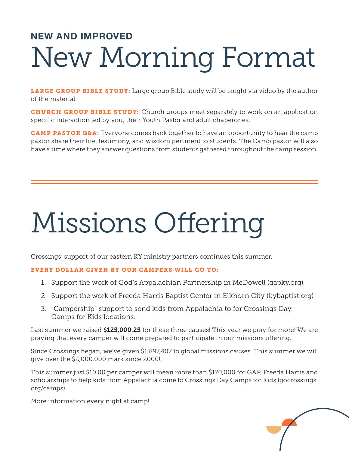## **NEW AND IMPROVED** New Morning Format

LARGE GROUP BIBLE STUDY: Large group Bible study will be taught via video by the author of the material.

**CHURCH GROUP BIBLE STUDY:** Church groups meet separately to work on an application specific interaction led by you, their Youth Pastor and adult chaperones.

CAMP PASTOR Q&A: Everyone comes back together to have an opportunity to hear the camp pastor share their life, testimony, and wisdom pertinent to students. The Camp pastor will also have a time where they answer questions from students gathered throughout the camp session.

# Missions Offering

Crossings' support of our eastern KY ministry partners continues this summer.

#### EVERY DOLLAR GIVEN BY OUR CAMPERS WILL GO TO:

- 1. Support the work of God's Appalachian Partnership in McDowell (gapky.org).
- 2. Support the work of Freeda Harris Baptist Center in Elkhorn City (kybaptist.org)
- 3. "Campership" support to send kids from Appalachia to for Crossings Day Camps for Kids locations.

Last summer we raised \$125,000.25 for these three causes! This year we pray for more! We are praying that every camper will come prepared to participate in our missions offering.

Since Crossings began, we've given \$1,897,407 to global missions causes. This summer we will give over the \$2,000,000 mark since 2000!.

This summer just \$10.00 per camper will mean more than \$170,000 for GAP, Freeda Harris and scholarships to help kids from Appalachia come to Crossings Day Camps for Kids (gocrossings. org/camps).

More information every night at camp!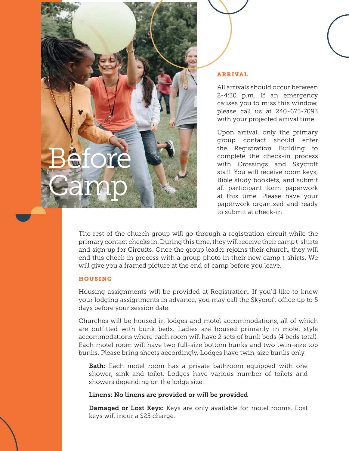

#### ARRIVAL

All arrivals should occur between 2-4:30 p.m. If an emergency causes you to miss this window, please call us at 240-675-7093 with your projected arrival time.

Upon arrival, only the primary group contact should enter the Registration Building to complete the check-in process with Crossings and Skycroft staff. You will receive room keys, Bible study booklets, and submit all participant form paperwork at this time. Please have your paperwork organized and ready to submit at check-in.

The rest of the church group will go through a registration circuit while the primary contact checks in. During this time, they will receive their camp t-shirts and sign up for Circuits. Once the group leader rejoins their church, they will end this check-in process with a group photo in their new camp t-shirts. We will give you a framed picture at the end of camp before you leave.

#### HOUSING

Housing assignments will be provided at Registration. If you'd like to know your lodging assignments in advance, you may call the Skycroft office up to 5 days before your session date.

Churches will be housed in lodges and motel accommodations, all of which are outfitted with bunk beds. Ladies are housed primarily in motel style accommodations where each room will have 2 sets of bunk beds (4 beds total). Each motel room will have two full-size bottom bunks and two twin-size top bunks. Please bring sheets accordingly. Lodges have twin-size bunks only.

Bath: Each motel room has a private bathroom equipped with one shower, sink and toilet. Lodges have various number of toilets and showers depending on the lodge size.

#### Linens: No linens are provided or will be provided

Damaged or Lost Keys: Keys are only available for motel rooms. Lost keys will incur a \$25 charge.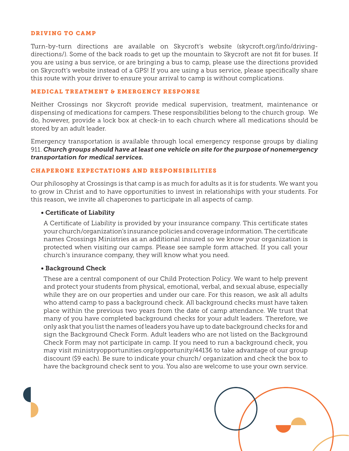#### DRIVING TO CAMP

Turn-by-turn directions are available on Skycroft's website (skycroft.org/info/drivingdirections/). Some of the back roads to get up the mountain to Skycroft are not fit for buses. If you are using a bus service, or are bringing a bus to camp, please use the directions provided on Skycroft's website instead of a GPS! If you are using a bus service, please specifically share this route with your driver to ensure your arrival to camp is without complications.

#### MEDICAL TREATMENT & EMERGENCY RESPONSE

Neither Crossings nor Skycroft provide medical supervision, treatment, maintenance or dispensing of medications for campers. These responsibilities belong to the church group. We do, however, provide a lock box at check-in to each church where all medications should be stored by an adult leader.

Emergency transportation is available through local emergency response groups by dialing 911. *Church groups should have at least one vehicle on site for the purpose of nonemergency transportation for medical services.*

#### CHAPERONE EXPECTATIONS AND RESPONSIBILITIES

Our philosophy at Crossings is that camp is as much for adults as it is for students. We want you to grow in Christ and to have opportunities to invest in relationships with your students. For this reason, we invite all chaperones to participate in all aspects of camp.

#### • Certificate of Liability

A Certificate of Liability is provided by your insurance company. This certificate states your church/organization's insurance policies and coverage information. The certificate names Crossings Ministries as an additional insured so we know your organization is protected when visiting our camps. Please see sample form attached. If you call your church's insurance company, they will know what you need.

#### • Background Check

These are a central component of our Child Protection Policy. We want to help prevent and protect your students from physical, emotional, verbal, and sexual abuse, especially while they are on our properties and under our care. For this reason, we ask all adults who attend camp to pass a background check. All background checks must have taken place within the previous two years from the date of camp attendance. We trust that many of you have completed background checks for your adult leaders. Therefore, we only ask that you list the names of leaders you have up to date background checks for and sign the Background Check Form. Adult leaders who are not listed on the Background Check Form may not participate in camp. If you need to run a background check, you may visit ministryopportunities.org/opportunity/44136 to take advantage of our group discount (\$9 each). Be sure to indicate your church/ organization and check the box to have the background check sent to you. You also are welcome to use your own service.

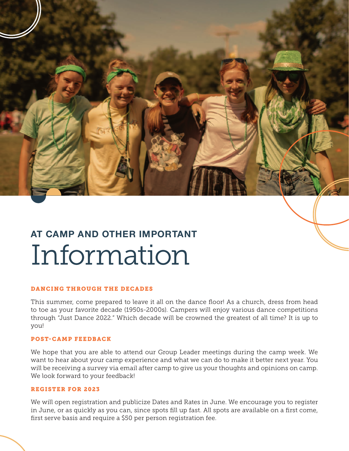

## **AT CAMP AND OTHER IMPORTANT** Information

#### DANCING THROUGH THE DECADES

This summer, come prepared to leave it all on the dance floor! As a church, dress from head to toe as your favorite decade (1950s-2000s). Campers will enjoy various dance competitions through "Just Dance 2022." Which decade will be crowned the greatest of all time? It is up to you!

#### POST-CAMP FEEDBACK

We hope that you are able to attend our Group Leader meetings during the camp week. We want to hear about your camp experience and what we can do to make it better next year. You will be receiving a survey via email after camp to give us your thoughts and opinions on camp. We look forward to your feedback!

#### REGISTER FOR 2023

We will open registration and publicize Dates and Rates in June. We encourage you to register in June, or as quickly as you can, since spots fill up fast. All spots are available on a first come, first serve basis and require a \$50 per person registration fee.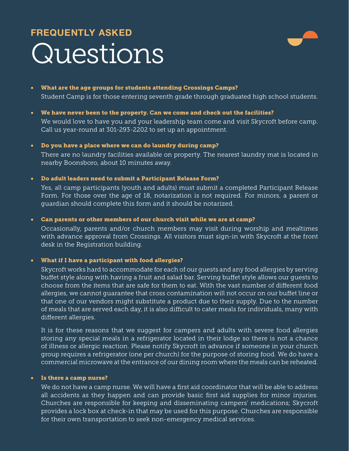## **FREQUENTLY ASKED** Questions



- What are the age groups for students attending Crossings Camps? Student Camp is for those entering seventh grade through graduated high school students.
- We have never been to the property. Can we come and check out the facilities?

We would love to have you and your leadership team come and visit Skycroft before camp. Call us year-round at 301-293-2202 to set up an appointment.

#### • Do you have a place where we can do laundry during camp?

There are no laundry facilities available on property. The nearest laundry mat is located in nearby Boonsboro, about 10 minutes away.

• Do adult leaders need to submit a Participant Release Form?

Yes, all camp participants (youth and adults) must submit a completed Participant Release Form. For those over the age of 18, notarization is not required. For minors, a parent or guardian should complete this form and it should be notarized.

• Can parents or other members of our church visit while we are at camp?

Occasionally, parents and/or church members may visit during worship and mealtimes with advance approval from Crossings. All visitors must sign-in with Skycroft at the front desk in the Registration building.

#### • What if I have a participant with food allergies?

Skycroft works hard to accommodate for each of our guests and any food allergies by serving buffet style along with having a fruit and salad bar. Serving buffet style allows our guests to choose from the items that are safe for them to eat. With the vast number of different food allergies, we cannot guarantee that cross contamination will not occur on our buffet line or that one of our vendors might substitute a product due to their supply. Due to the number of meals that are served each day, it is also difficult to cater meals for individuals, many with different allergies.

It is for these reasons that we suggest for campers and adults with severe food allergies storing any special meals in a refrigerator located in their lodge so there is not a chance of illness or allergic reaction. Please notify Skycroft in advance if someone in your church group requires a refrigerator (one per church) for the purpose of storing food. We do have a commercial microwave at the entrance of our dining room where the meals can be reheated.

#### • Is there a camp nurse?

We do not have a camp nurse. We will have a first aid coordinator that will be able to address all accidents as they happen and can provide basic first aid supplies for minor injuries. Churches are responsible for keeping and disseminating campers' medications; Skycroft provides a lock box at check-in that may be used for this purpose. Churches are responsible for their own transportation to seek non-emergency medical services.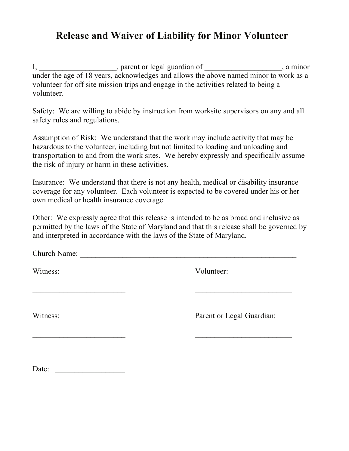### **Release and Waiver of Liability for Minor Volunteer**

I, \_\_\_\_\_\_\_\_\_\_\_\_\_\_\_\_\_\_, parent or legal guardian of \_\_\_\_\_\_\_\_\_\_\_\_\_\_\_\_\_\_\_, a minor under the age of 18 years, acknowledges and allows the above named minor to work as a volunteer for off site mission trips and engage in the activities related to being a volunteer.

Safety: We are willing to abide by instruction from worksite supervisors on any and all safety rules and regulations.

Assumption of Risk: We understand that the work may include activity that may be hazardous to the volunteer, including but not limited to loading and unloading and transportation to and from the work sites. We hereby expressly and specifically assume the risk of injury or harm in these activities.

Insurance: We understand that there is not any health, medical or disability insurance coverage for any volunteer. Each volunteer is expected to be covered under his or her own medical or health insurance coverage.

Other: We expressly agree that this release is intended to be as broad and inclusive as permitted by the laws of the State of Maryland and that this release shall be governed by and interpreted in accordance with the laws of the State of Maryland.

\_\_\_\_\_\_\_\_\_\_\_\_\_\_\_\_\_\_\_\_\_\_\_\_ \_\_\_\_\_\_\_\_\_\_\_\_\_\_\_\_\_\_\_\_\_\_\_\_\_

 $\overline{\phantom{a}}$  , and the contract of the contract of the contract of the contract of the contract of the contract of the contract of the contract of the contract of the contract of the contract of the contract of the contrac

Church Name: \_\_\_\_\_\_\_\_\_\_\_\_\_\_\_\_\_\_\_\_\_\_\_\_\_\_\_\_\_\_\_\_\_\_\_\_\_\_\_\_\_\_\_\_\_\_\_\_\_\_\_\_\_\_\_\_

Witness: Volunteer:

Witness: Parent or Legal Guardian:

Date: \_\_\_\_\_\_\_\_\_\_\_\_\_\_\_\_\_\_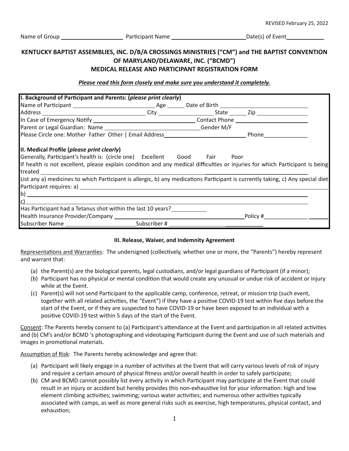#### **KENTUCKY BAPTIST ASSEMBLIES, INC. D/B/A CROSSINGS MINISTRIES ("CM") and THE BAPTIST CONVENTION OF MARYLAND/DELAWARE, INC. ("BCMD") MEDICAL RELEASE AND PARTICIPANT REGISTRATION FORM**

#### *Please read this form closely and make sure you understand it completely.*

| I. Background of Participant and Parents: (please print clearly)                                                                                                                                                               |  |  |                            |  |
|--------------------------------------------------------------------------------------------------------------------------------------------------------------------------------------------------------------------------------|--|--|----------------------------|--|
|                                                                                                                                                                                                                                |  |  |                            |  |
|                                                                                                                                                                                                                                |  |  |                            |  |
|                                                                                                                                                                                                                                |  |  |                            |  |
|                                                                                                                                                                                                                                |  |  |                            |  |
|                                                                                                                                                                                                                                |  |  |                            |  |
| II. Medical Profile (please print clearly)                                                                                                                                                                                     |  |  |                            |  |
| Generally, Participant's health is: (circle one) Excellent Good Fair Poor                                                                                                                                                      |  |  |                            |  |
| If health is not excellent, please explain condition and any medical difficulties or injuries for which Participant is being                                                                                                   |  |  |                            |  |
| treated and the state of the state of the state of the state of the state of the state of the state of the state of the state of the state of the state of the state of the state of the state of the state of the state of th |  |  |                            |  |
| List any a) medicines to which Participant is allergic, b) any medications Participant is currently taking, c) Any special diet                                                                                                |  |  |                            |  |
|                                                                                                                                                                                                                                |  |  |                            |  |
| $\ket{\text{b}}$                                                                                                                                                                                                               |  |  |                            |  |
| $\mathbf{c}$ )                                                                                                                                                                                                                 |  |  |                            |  |
| Has Participant had a Tetanus shot within the last 10 years?                                                                                                                                                                   |  |  |                            |  |
|                                                                                                                                                                                                                                |  |  | Policy #__________________ |  |
|                                                                                                                                                                                                                                |  |  |                            |  |

#### **III. Release, Waiver, and Indemnity Agreement**

Representations and Warranties: The undersigned (collectively, whether one or more, the "Parents") hereby represent and warrant that:

- (a) the Parent(s) are the biological parents, legal custodians, and/or legal guardians of Participant (if a minor);
- (b) Participant has no physical or mental condition that would create any unusual or undue risk of accident or injury while at the Event.
- (c) Parent(s) will not send Participant to the applicable camp, conference, retreat, or mission trip (such event, together with all related activities, the "Event") if they have a positive COVID-19 test within five days before the start of the Event, or if they are suspected to have COVID-19 or have been exposed to an individual with a positive COVID-19 test within 5 days of the start of the Event.

Consent: The Parents hereby consent to (a) Participant's attendance at the Event and participation in all related activities and (b) CM's and/or BCMD 's photographing and videotaping Participant during the Event and use of such materials and images in promotional materials.

Assumption of Risk: The Parents hereby acknowledge and agree that:

- (a) Participant will likely engage in a number of activities at the Event that will carry various levels of risk of injury and require a certain amount of physical fitness and/or overall health in order to safely participate;
- (b) CM and BCMD cannot possibly list every activity in which Participant may participate at the Event that could result in an injury or accident but hereby provides this non-exhaustive list for your information: high and low element climbing activities; swimming; various water activities; and numerous other activities typically associated with camps, as well as more general risks such as exercise, high temperatures, physical contact, and exhaustion;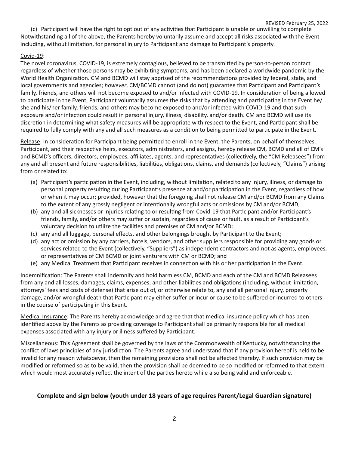REVISED February 25, 2022 (c) Participant will have the right to opt out of any activities that Participant is unable or unwilling to complete Notwithstanding all of the above, the Parents hereby voluntarily assume and accept all risks associated with the Event including, without limitation, for personal injury to Participant and damage to Participant's property.

#### Covid-19:

The novel coronavirus, COVID-19, is extremely contagious, believed to be transmifed by person-to-person contact regardless of whether those persons may be exhibiting symptoms, and has been declared a worldwide pandemic by the World Health Organization. CM and BCMD will stay apprised of the recommendations provided by federal, state, and local governments and agencies; *however*, CM/BCMD cannot (and do not) guarantee that Participant and Participant's family, friends, and others will not become exposed to and/or infected with COVID-19. In consideration of being allowed to participate in the Event, Participant voluntarily assumes the risks that by attending and participating in the Event he/ she and his/her family, friends, and others may become exposed to and/or infected with COVID-19 and that such exposure and/or infection could result in personal injury, illness, disability, and/or death. CM and BCMD will use its discretion in determining what safety measures will be appropriate with respect to the Event, and Participant shall be required to fully comply with any and all such measures as a condition to being permitted to participate in the Event.

Release: In consideration for Participant being permitted to enroll in the Event, the Parents, on behalf of themselves, Participant, and their respective heirs, executors, administrators, and assigns, hereby release CM, BCMD and all of CM's and BCMD's officers, directors, employees, affiliates, agents, and representatives (collectively, the "CM Releasees") from any and all present and future responsibilities, liabilities, obligations, claims, and demands (collectively, "Claims") arising from or related to:

- (a) Participant's participation in the Event, including, without limitation, related to any injury, illness, or damage to personal property resulting during Participant's presence at and/or participation in the Event, regardless of how or when it may occur; provided, however that the foregoing shall not release CM and/or BCMD from any Claims to the extent of any grossly negligent or intentionally wrongful acts or omissions by CM and/or BCMD;
- (b) any and all sicknesses or injuries relating to or resulting from Covid-19 that Participant and/or Participant's friends, family, and/or others may suffer or sustain, regardless of cause or fault, as a result of Participant's voluntary decision to utilize the facilities and premises of CM and/or BCMD;
- (c) any and all luggage, personal effects, and other belongings brought by Participant to the Event;
- (d) any act or omission by any carriers, hotels, vendors, and other suppliers responsible for providing any goods or services related to the Event (collectively, "Suppliers") as independent contractors and not as agents, employees, or representatives of CM BCMD or joint venturers with CM or BCMD; and
- (e) any Medical Treatment that Participant receives in connection with his or her participation in the Event.

Indemnification: The Parents shall indemnify and hold harmless CM, BCMD and each of the CM and BCMD Releasees from any and all losses, damages, claims, expenses, and other liabilities and obligations (including, without limitation, attorneys' fees and costs of defense) that arise out of, or otherwise relate to, any and all personal injury, property damage, and/or wrongful death that Participant may either suffer or incur or cause to be suffered or incurred to others in the course of participating in this Event.

Medical Insurance: The Parents hereby acknowledge and agree that that medical insurance policy which has been identified above by the Parents as providing coverage to Participant shall be primarily responsible for all medical expenses associated with any injury or illness suffered by Participant.

Miscellaneous: This Agreement shall be governed by the laws of the Commonwealth of Kentucky, notwithstanding the conflict of laws principles of any jurisdiction. The Parents agree and understand that if any provision hereof is held to be invalid for any reason whatsoever, then the remaining provisions shall not be affected thereby. If such provision may be modified or reformed so as to be valid, then the provision shall be deemed to be so modified or reformed to that extent which would most accurately reflect the intent of the parties hereto while also being valid and enforceable.

#### **Complete and sign below (youth under 18 years of age requires Parent/Legal Guardian signature)**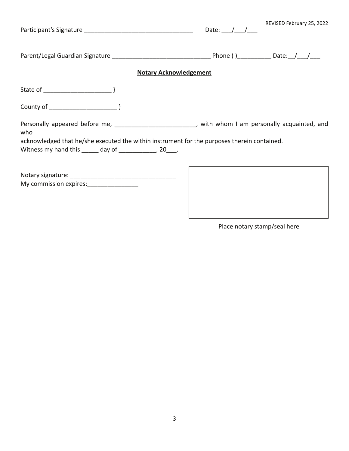|                                                                                                               | Date: $/ /$ | REVISED February 25, 2022 |
|---------------------------------------------------------------------------------------------------------------|-------------|---------------------------|
|                                                                                                               |             |                           |
| <b>Notary Acknowledgement</b>                                                                                 |             |                           |
|                                                                                                               |             |                           |
|                                                                                                               |             |                           |
| Personally appeared before me, ____________________________, with whom I am personally acquainted, and<br>who |             |                           |
| acknowledged that he/she executed the within instrument for the purposes therein contained.                   |             |                           |
| Witness my hand this ______ day of _____________, 20___.                                                      |             |                           |
|                                                                                                               |             |                           |
|                                                                                                               |             |                           |
|                                                                                                               |             |                           |

Place notary stamp/seal here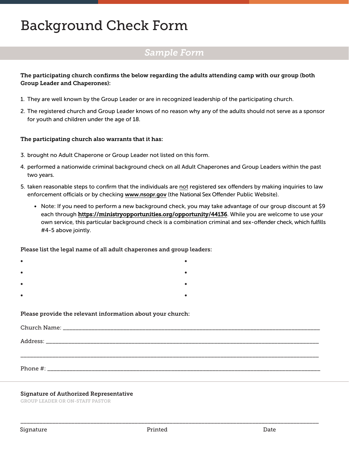### Background Check Form

### *Sample Form*

#### The participating church confirms the below regarding the adults attending camp with our group (both Group Leader and Chaperones):

- 1. They are well known by the Group Leader or are in recognized leadership of the participating church.
- 2. The registered church and Group Leader knows of no reason why any of the adults should not serve as a sponsor for youth and children under the age of 18.

#### The participating church also warrants that it has:

- 3. brought no Adult Chaperone or Group Leader not listed on this form.
- 4. performed a nationwide criminal background check on all Adult Chaperones and Group Leaders within the past two years.
- 5. taken reasonable steps to confirm that the individuals are not registered sex offenders by making inquiries to law enforcement officials or by checking www.nsopr.gov (the National Sex Offender Public Website).
	- Note: If you need to perform a new background check, you may take advantage of our group discount at \$9 each through https://ministryopportunities.org/opportunity/44136. While you are welcome to use your own service, this particular background check is a combination criminal and sex-offender check, which fulfills #4-5 above jointly.

Please list the legal name of all adult chaperones and group leaders:

| $\bullet$ |  | $\blacksquare$ |
|-----------|--|----------------|
| $\bullet$ |  | $\blacksquare$ |
| $\bullet$ |  |                |

- 
- •

#### Please provide the relevant information about your church:

| Phone #: |
|----------|

#### Signature of Authorized Representative

GROUP LEADER OR ON-STAFF PASTOR

\_\_\_\_\_\_\_\_\_\_\_\_\_\_\_\_\_\_\_\_\_\_\_\_\_\_\_\_\_\_\_\_\_\_\_\_\_\_\_\_\_\_\_\_\_\_\_\_\_\_\_\_\_\_\_\_\_\_\_\_\_\_\_\_\_\_\_\_\_\_\_\_\_\_\_\_\_\_\_\_\_\_\_\_\_\_\_\_\_\_\_\_\_\_